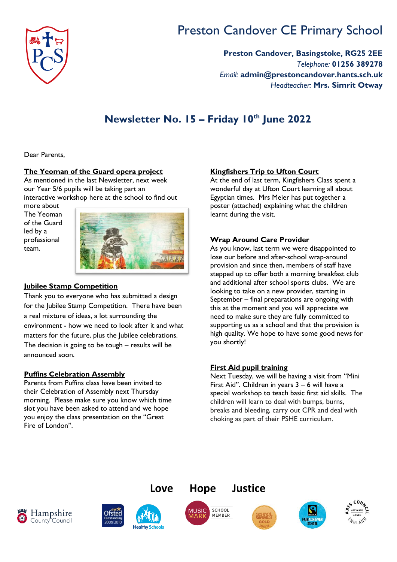

# Preston Candover CE Primary School

**Preston Candover, Basingstoke, RG25 2EE** *Telephone:* **01256 389278** *Email:* **admin@prestoncandover.hants.sch.uk** *Headteacher:* **Mrs. Simrit Otway**

# **Newsletter No. 15 – Friday 10th June 2022**

Dear Parents,

#### **The Yeoman of the Guard opera project**

As mentioned in the last Newsletter, next week our Year 5/6 pupils will be taking part an interactive workshop here at the school to find out

more about The Yeoman of the Guard led by a professional team.



#### **Jubilee Stamp Competition**

Thank you to everyone who has submitted a design for the Jubilee Stamp Competition. There have been a real mixture of ideas, a lot surrounding the environment - how we need to look after it and what matters for the future, plus the Jubilee celebrations. The decision is going to be tough – results will be announced soon.

#### **Puffins Celebration Assembly**

Parents from Puffins class have been invited to their Celebration of Assembly next Thursday morning. Please make sure you know which time slot you have been asked to attend and we hope you enjoy the class presentation on the "Great Fire of London".

#### **Kingfishers Trip to Ufton Court**

At the end of last term, Kingfishers Class spent a wonderful day at Ufton Court learning all about Egyptian times. Mrs Meier has put together a poster (attached) explaining what the children learnt during the visit.

# **Wrap Around Care Provider**

As you know, last term we were disappointed to lose our before and after-school wrap-around provision and since then, members of staff have stepped up to offer both a morning breakfast club and additional after school sports clubs. We are looking to take on a new provider, starting in September – final preparations are ongoing with this at the moment and you will appreciate we need to make sure they are fully committed to supporting us as a school and that the provision is high quality. We hope to have some good news for you shortly!

# **First Aid pupil training**

Next Tuesday, we will be having a visit from "Mini First Aid". Children in years 3 – 6 will have a special workshop to teach basic first aid skills. The children will learn to deal with bumps, burns, breaks and bleeding, carry out CPR and deal with choking as part of their PSHE curriculum.









**Lov[e Hope Jus](http://www.google.co.uk/url?sa=i&rct=j&q=&esrc=s&source=images&cd=&cad=rja&uact=8&ved=2ahUKEwiQjbWGytfZAhWB8RQKHeqcB5AQjRx6BAgAEAU&url=http://www.east-the-water.devon.sch.uk/school-blog/music-mark.html&psig=AOvVaw04YubnNsr-9G6tXq5oLza5&ust=1520421612062863)tice**